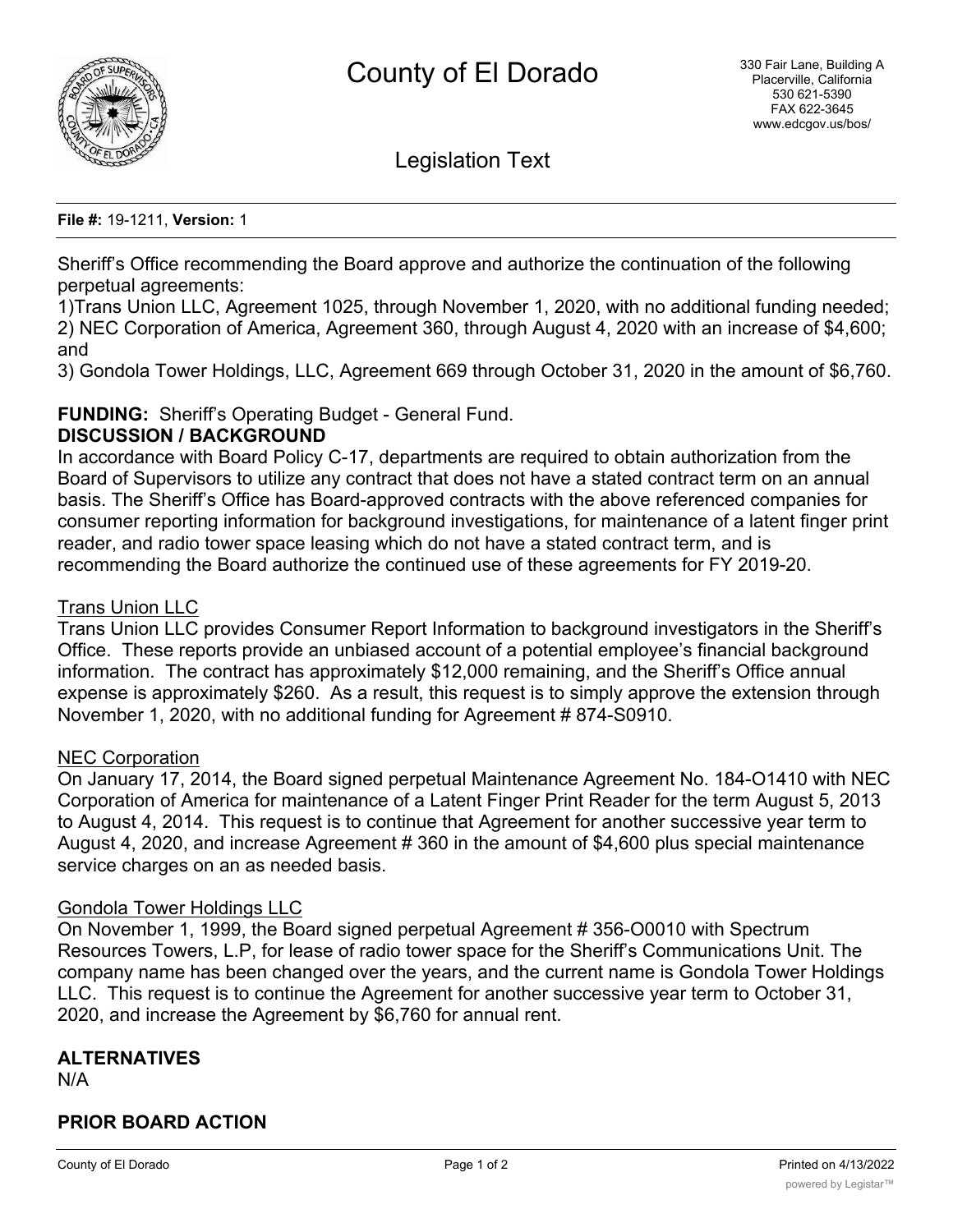

Legislation Text

#### **File #:** 19-1211, **Version:** 1

Sheriff's Office recommending the Board approve and authorize the continuation of the following perpetual agreements:

1)Trans Union LLC, Agreement 1025, through November 1, 2020, with no additional funding needed; 2) NEC Corporation of America, Agreement 360, through August 4, 2020 with an increase of \$4,600; and

3) Gondola Tower Holdings, LLC, Agreement 669 through October 31, 2020 in the amount of \$6,760.

# **FUNDING:** Sheriff's Operating Budget - General Fund.

### **DISCUSSION / BACKGROUND**

In accordance with Board Policy C-17, departments are required to obtain authorization from the Board of Supervisors to utilize any contract that does not have a stated contract term on an annual basis. The Sheriff's Office has Board-approved contracts with the above referenced companies for consumer reporting information for background investigations, for maintenance of a latent finger print reader, and radio tower space leasing which do not have a stated contract term, and is recommending the Board authorize the continued use of these agreements for FY 2019-20.

#### Trans Union LLC

Trans Union LLC provides Consumer Report Information to background investigators in the Sheriff's Office. These reports provide an unbiased account of a potential employee's financial background information. The contract has approximately \$12,000 remaining, and the Sheriff's Office annual expense is approximately \$260. As a result, this request is to simply approve the extension through November 1, 2020, with no additional funding for Agreement # 874-S0910.

#### NEC Corporation

On January 17, 2014, the Board signed perpetual Maintenance Agreement No. 184-O1410 with NEC Corporation of America for maintenance of a Latent Finger Print Reader for the term August 5, 2013 to August 4, 2014. This request is to continue that Agreement for another successive year term to August 4, 2020, and increase Agreement # 360 in the amount of \$4,600 plus special maintenance service charges on an as needed basis.

#### Gondola Tower Holdings LLC

On November 1, 1999, the Board signed perpetual Agreement # 356-O0010 with Spectrum Resources Towers, L.P, for lease of radio tower space for the Sheriff's Communications Unit. The company name has been changed over the years, and the current name is Gondola Tower Holdings LLC. This request is to continue the Agreement for another successive year term to October 31, 2020, and increase the Agreement by \$6,760 for annual rent.

# **ALTERNATIVES**

N/A

# **PRIOR BOARD ACTION**